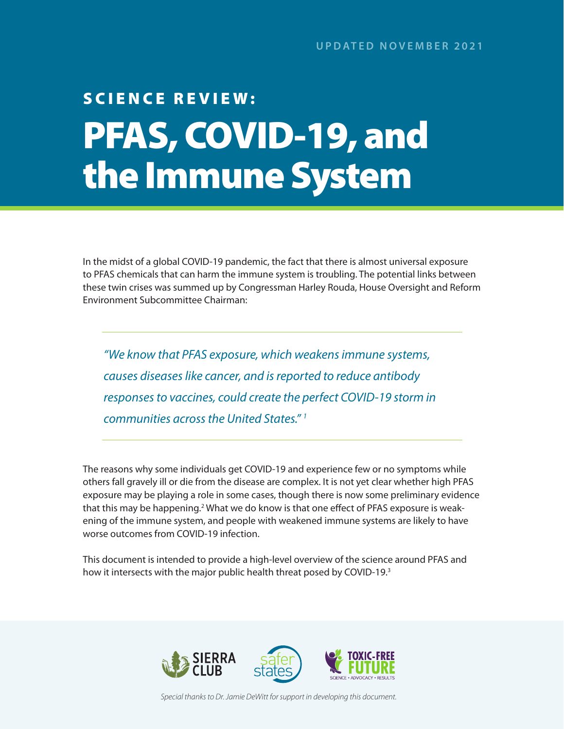# <span id="page-0-0"></span>SCIENCE REVIEW: PFAS, COVID-19, and the Immune System

In the midst of a global COVID-19 pandemic, the fact that there is almost universal exposure to PFAS chemicals that can harm the immune system is troubling. The potential links between these twin crises was summed up by Congressman Harley Rouda, House Oversight and Reform Environment Subcommittee Chairman:

*"We know that PFAS exposure, which weakens immune systems, causes diseases like cancer, and is reported to reduce antibody responses to vaccines, could create the perfect COVID-19 storm in communities across the United States." [1](#page-8-0)*

The reasons why some individuals get COVID-19 and experience few or no symptoms while others fall gravely ill or die from the disease are complex. It is not yet clear whether high PFAS exposure may be playing a role in some cases, though there is now some preliminary evidence that this may be happening.<sup>2</sup> What we do know is that one effect of PFAS exposure is weakening of the immune system, and people with weakened immune systems are likely to have worse outcomes from COVID-19 infection.

This document is intended to provide a high-level overview of the science around PFAS and how it intersects with the major public health threat posed by COVID-19.<sup>[3](#page-8-0)</sup>



*Special thanks to Dr. Jamie DeWitt for support in developing this document.*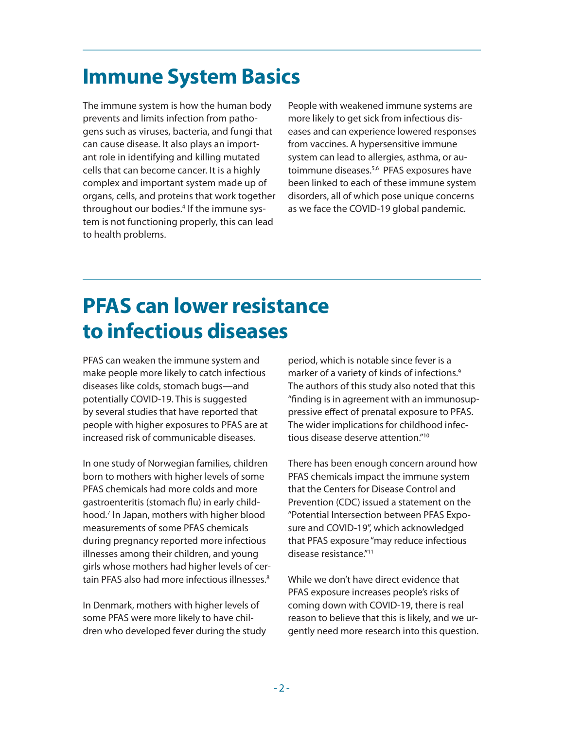# <span id="page-1-0"></span>**Immune System Basics**

The immune system is how the human body prevents and limits infection from pathogens such as viruses, bacteria, and fungi that can cause disease. It also plays an important role in identifying and killing mutated cells that can become cancer. It is a highly complex and important system made up of organs, cells, and proteins that work together throughout our bodies.<sup>[4](#page-8-0)</sup> If the immune system is not functioning properly, this can lead to health problems.

People with weakened immune systems are more likely to get sick from infectious diseases and can experience lowered responses from vaccines. A hypersensitive immune system can lead to allergies, asthma, or autoimmune diseases.[5,6](#page-8-0) PFAS exposures have been linked to each of these immune system disorders, all of which pose unique concerns as we face the COVID-19 global pandemic.

# **PFAS can lower resistance to infectious diseases**

PFAS can weaken the immune system and make people more likely to catch infectious diseases like colds, stomach bugs—and potentially COVID-19. This is suggested by several studies that have reported that people with higher exposures to PFAS are at increased risk of communicable diseases.

In one study of Norwegian families, children born to mothers with higher levels of some PFAS chemicals had more colds and more gastroenteritis (stomach flu) in early childhood.[7](#page-8-0) In Japan, mothers with higher blood measurements of some PFAS chemicals during pregnancy reported more infectious illnesses among their children, and young girls whose mothers had higher levels of certain PFAS also had more infectious illnesses[.8](#page-8-0)

In Denmark, mothers with higher levels of some PFAS were more likely to have children who developed fever during the study period, which is notable since fever is a marker of a variety of kinds of infections.<sup>9</sup> The authors of this study also noted that this "finding is in agreement with an immunosuppressive effect of prenatal exposure to PFAS. The wider implications for childhood infectious disease deserve attention."[10](#page-8-0)

There has been enough concern around how PFAS chemicals impact the immune system that the Centers for Disease Control and Prevention (CDC) issued a statement on the "Potential Intersection between PFAS Exposure and COVID-19", which acknowledged that PFAS exposure "may reduce infectious disease resistance.["11](#page-8-0)

While we don't have direct evidence that PFAS exposure increases people's risks of coming down with COVID-19, there is real reason to believe that this is likely, and we urgently need more research into this question.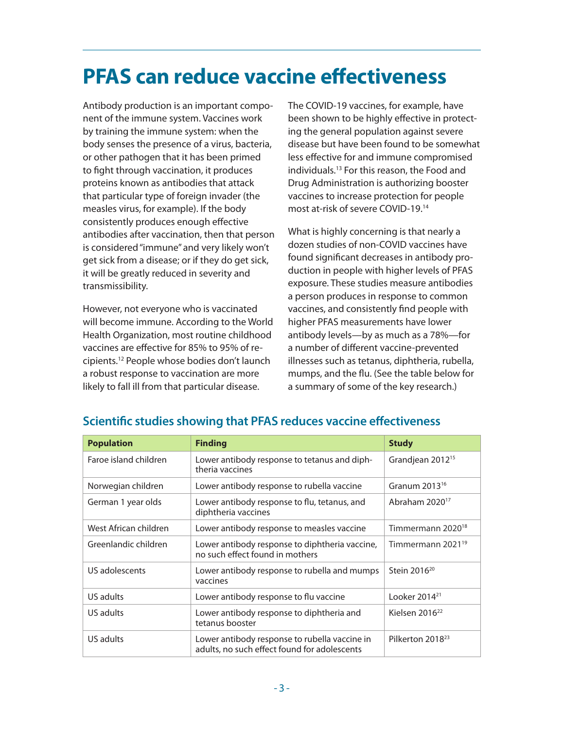# <span id="page-2-0"></span>**PFAS can reduce vaccine effectiveness**

Antibody production is an important component of the immune system. Vaccines work by training the immune system: when the body senses the presence of a virus, bacteria, or other pathogen that it has been primed to fight through vaccination, it produces proteins known as antibodies that attack that particular type of foreign invader (the measles virus, for example). If the body consistently produces enough effective antibodies after vaccination, then that person is considered "immune" and very likely won't get sick from a disease; or if they do get sick, it will be greatly reduced in severity and transmissibility.

However, not everyone who is vaccinated will become immune. According to the World Health Organization, most routine childhood vaccines are effective for 85% to 95% of recipients[.12](#page-8-0) People whose bodies don't launch a robust response to vaccination are more likely to fall ill from that particular disease.

The COVID-19 vaccines, for example, have been shown to be highly effective in protecting the general population against severe disease but have been found to be somewhat less effective for and immune compromised individuals.[13](#page-8-0) For this reason, the Food and Drug Administration is authorizing booster vaccines to increase protection for people most at-risk of severe COVID-19.[14](#page-8-0)

What is highly concerning is that nearly a dozen studies of non-COVID vaccines have found significant decreases in antibody production in people with higher levels of PFAS exposure. These studies measure antibodies a person produces in response to common vaccines, and consistently find people with higher PFAS measurements have lower antibody levels—by as much as a 78%—for a number of different vaccine-prevented illnesses such as tetanus, diphtheria, rubella, mumps, and the flu. (See the table below for a summary of some of the key research.)

| <b>Population</b>     | <b>Finding</b>                                                                                | <b>Study</b>                  |
|-----------------------|-----------------------------------------------------------------------------------------------|-------------------------------|
| Faroe island children | Lower antibody response to tetanus and diph-<br>theria vaccines                               | Grandjean 2012 <sup>15</sup>  |
| Norwegian children    | Lower antibody response to rubella vaccine                                                    | Granum $2013^{16}$            |
| German 1 year olds    | Lower antibody response to flu, tetanus, and<br>diphtheria vaccines                           | Abraham 2020 <sup>17</sup>    |
| West African children | Lower antibody response to measles vaccine                                                    | Timmermann 2020 <sup>18</sup> |
| Greenlandic children  | Lower antibody response to diphtheria vaccine,<br>no such effect found in mothers             | Timmermann 2021 <sup>19</sup> |
| US adolescents        | Lower antibody response to rubella and mumps<br>vaccines                                      | Stein 2016 <sup>20</sup>      |
| US adults             | Lower antibody response to flu vaccine                                                        | Looker $2014^{21}$            |
| US adults             | Lower antibody response to diphtheria and<br>tetanus booster                                  | Kielsen 2016 <sup>22</sup>    |
| US adults             | Lower antibody response to rubella vaccine in<br>adults, no such effect found for adolescents | Pilkerton 2018 <sup>23</sup>  |

#### **Scientific studies showing that PFAS reduces vaccine effectiveness**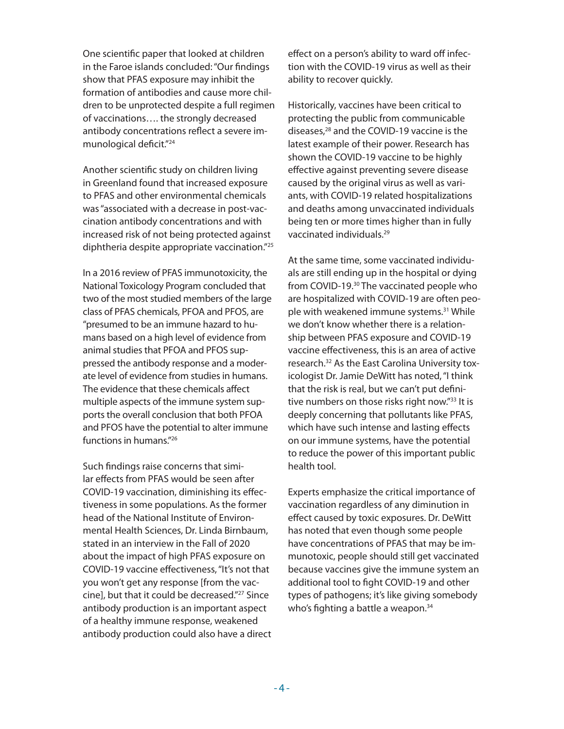<span id="page-3-0"></span>One scientific paper that looked at children in the Faroe islands concluded: "Our findings show that PFAS exposure may inhibit the formation of antibodies and cause more children to be unprotected despite a full regimen of vaccinations…. the strongly decreased antibody concentrations reflect a severe immunological deficit.["24](#page-8-0)

Another scientific study on children living in Greenland found that increased exposure to PFAS and other environmental chemicals was "associated with a decrease in post-vaccination antibody concentrations and with increased risk of not being protected against diphtheria despite appropriate vaccination."[25](#page-8-0)

In a 2016 review of PFAS immunotoxicity, the National Toxicology Program concluded that two of the most studied members of the large class of PFAS chemicals, PFOA and PFOS, are "presumed to be an immune hazard to humans based on a high level of evidence from animal studies that PFOA and PFOS suppressed the antibody response and a moderate level of evidence from studies in humans. The evidence that these chemicals affect multiple aspects of the immune system supports the overall conclusion that both PFOA and PFOS have the potential to alter immune functions in humans.["26](#page-8-0)

Such findings raise concerns that similar effects from PFAS would be seen after COVID-19 vaccination, diminishing its effectiveness in some populations. As the former head of the National Institute of Environmental Health Sciences, Dr. Linda Birnbaum, stated in an interview in the Fall of 2020 about the impact of high PFAS exposure on COVID-19 vaccine effectiveness, "It's not that you won't get any response [from the vaccine], but that it could be decreased."[27](#page-9-0) Since antibody production is an important aspect of a healthy immune response, weakened antibody production could also have a direct effect on a person's ability to ward off infection with the COVID-19 virus as well as their ability to recover quickly.

Historically, vaccines have been critical to protecting the public from communicable diseases,<sup>28</sup> and the COVID-19 vaccine is the latest example of their power. Research has shown the COVID-19 vaccine to be highly effective against preventing severe disease caused by the original virus as well as variants, with COVID-19 related hospitalizations and deaths among unvaccinated individuals being ten or more times higher than in fully vaccinated individuals.[29](#page-9-0)

At the same time, some vaccinated individuals are still ending up in the hospital or dying from COVID-19.[30](#page-9-0) The vaccinated people who are hospitalized with COVID-19 are often people with weakened immune systems.<sup>31</sup> While we don't know whether there is a relationship between PFAS exposure and COVID-19 vaccine effectiveness, this is an area of active research.[32](#page-9-0) As the East Carolina University toxicologist Dr. Jamie DeWitt has noted, "I think that the risk is real, but we can't put definitive numbers on those risks right now.["33](#page-9-0) It is deeply concerning that pollutants like PFAS, which have such intense and lasting effects on our immune systems, have the potential to reduce the power of this important public health tool.

Experts emphasize the critical importance of vaccination regardless of any diminution in effect caused by toxic exposures. Dr. DeWitt has noted that even though some people have concentrations of PFAS that may be immunotoxic, people should still get vaccinated because vaccines give the immune system an additional tool to fight COVID-19 and other types of pathogens; it's like giving somebody who's fighting a battle a weapon.<sup>[34](#page-9-0)</sup>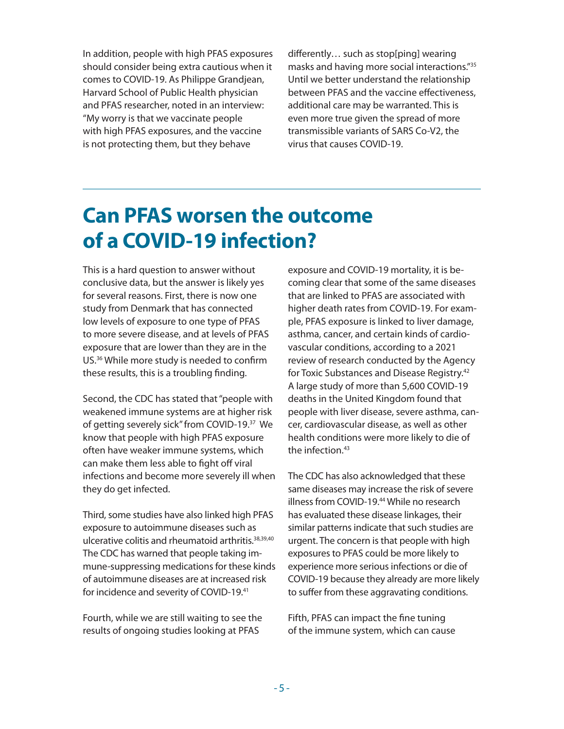<span id="page-4-0"></span>In addition, people with high PFAS exposures should consider being extra cautious when it comes to COVID-19. As Philippe Grandjean, Harvard School of Public Health physician and PFAS researcher, noted in an interview: "My worry is that we vaccinate people with high PFAS exposures, and the vaccine is not protecting them, but they behave

differently… such as stop[ping] wearing masks and having more social interactions."[35](#page-9-0) Until we better understand the relationship between PFAS and the vaccine effectiveness, additional care may be warranted. This is even more true given the spread of more transmissible variants of SARS Co-V2, the virus that causes COVID-19.

### **Can PFAS worsen the outcome of a COVID-19 infection?**

This is a hard question to answer without conclusive data, but the answer is likely yes for several reasons. First, there is now one study from Denmark that has connected low levels of exposure to one type of PFAS to more severe disease, and at levels of PFAS exposure that are lower than they are in the US.[36](#page-9-0) While more study is needed to confirm these results, this is a troubling finding.

Second, the CDC has stated that "people with weakened immune systems are at higher risk of getting severely sick" from COVID-19[.37](#page-9-0) We know that people with high PFAS exposure often have weaker immune systems, which can make them less able to fight off viral infections and become more severely ill when they do get infected.

Third, some studies have also linked high PFAS exposure to autoimmune diseases such as ulcerative colitis and rheumatoid arthritis.<sup>38,39,40</sup> The CDC has warned that people taking immune-suppressing medications for these kinds of autoimmune diseases are at increased risk for incidence and severity of COVID-19.<sup>41</sup>

Fourth, while we are still waiting to see the results of ongoing studies looking at PFAS

exposure and COVID-19 mortality, it is becoming clear that some of the same diseases that are linked to PFAS are associated with higher death rates from COVID-19. For example, PFAS exposure is linked to liver damage, asthma, cancer, and certain kinds of cardiovascular conditions, according to a 2021 review of research conducted by the Agency for Toxic Substances and Disease Registry[.42](#page-9-0) A large study of more than 5,600 COVID-19 deaths in the United Kingdom found that people with liver disease, severe asthma, cancer, cardiovascular disease, as well as other health conditions were more likely to die of the infection.<sup>43</sup>

The CDC has also acknowledged that these same diseases may increase the risk of severe illness from COVID-19[.44](#page-9-0) While no research has evaluated these disease linkages, their similar patterns indicate that such studies are urgent. The concern is that people with high exposures to PFAS could be more likely to experience more serious infections or die of COVID-19 because they already are more likely to suffer from these aggravating conditions.

Fifth, PFAS can impact the fine tuning of the immune system, which can cause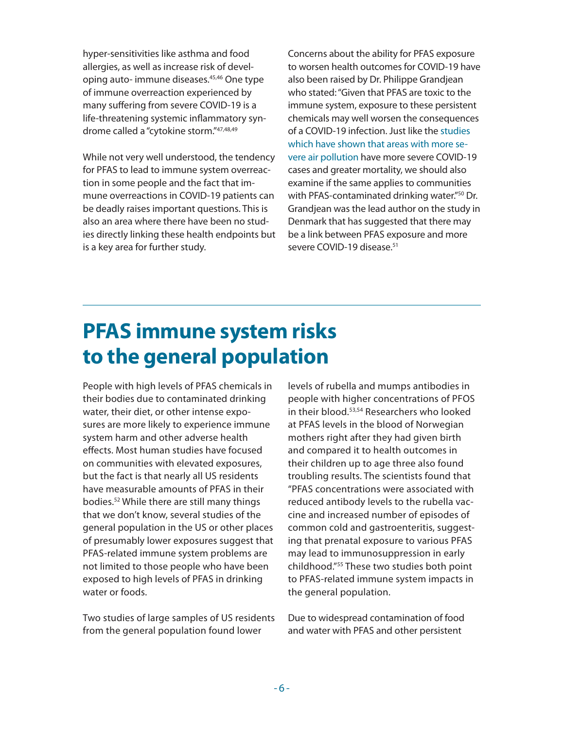<span id="page-5-0"></span>hyper-sensitivities like asthma and food allergies, as well as increase risk of developing auto- immune diseases.[45,46](#page-9-0) One type of immune overreaction experienced by many suffering from severe COVID-19 is a life-threatening systemic inflammatory syndrome called a "cytokine storm."[47,48,49](#page-9-0)

While not very well understood, the tendency for PFAS to lead to immune system overreaction in some people and the fact that immune overreactions in COVID-19 patients can be deadly raises important questions. This is also an area where there have been no studies directly linking these health endpoints but is a key area for further study.

Concerns about the ability for PFAS exposure to worsen health outcomes for COVID-19 have also been raised by Dr. Philippe Grandjean who stated: "Given that PFAS are toxic to the immune system, exposure to these persistent chemicals may well worsen the consequences of a COVID-19 infection. Just like the [studies](https://theintercept.com/2020/06/26/coronavirus-toxic-chemicals-pfas-bpa/)  [which have shown that areas with more se](https://theintercept.com/2020/06/26/coronavirus-toxic-chemicals-pfas-bpa/)[vere air pollution](https://theintercept.com/2020/06/26/coronavirus-toxic-chemicals-pfas-bpa/) have more severe COVID-19 cases and greater mortality, we should also examine if the same applies to communities with PFAS-contaminated drinking water.["50](#page-9-0) Dr. Grandjean was the lead author on the study in Denmark that has suggested that there may be a link between PFAS exposure and more severe COVID-19 disease.<sup>51</sup>

# **PFAS immune system risks to the general population**

People with high levels of PFAS chemicals in their bodies due to contaminated drinking water, their diet, or other intense exposures are more likely to experience immune system harm and other adverse health effects. Most human studies have focused on communities with elevated exposures, but the fact is that nearly all US residents have measurable amounts of PFAS in their bodies.[52](#page-9-0) While there are still many things that we don't know, several studies of the general population in the US or other places of presumably lower exposures suggest that PFAS-related immune system problems are not limited to those people who have been exposed to high levels of PFAS in drinking water or foods.

Two studies of large samples of US residents from the general population found lower

levels of rubella and mumps antibodies in people with higher concentrations of PFOS in their blood[.53,54](#page-9-0) Researchers who looked at PFAS levels in the blood of Norwegian mothers right after they had given birth and compared it to health outcomes in their children up to age three also found troubling results. The scientists found that "PFAS concentrations were associated with reduced antibody levels to the rubella vaccine and increased number of episodes of common cold and gastroenteritis, suggesting that prenatal exposure to various PFAS may lead to immunosuppression in early childhood.["55](#page-9-0) These two studies both point to PFAS-related immune system impacts in the general population.

Due to widespread contamination of food and water with PFAS and other persistent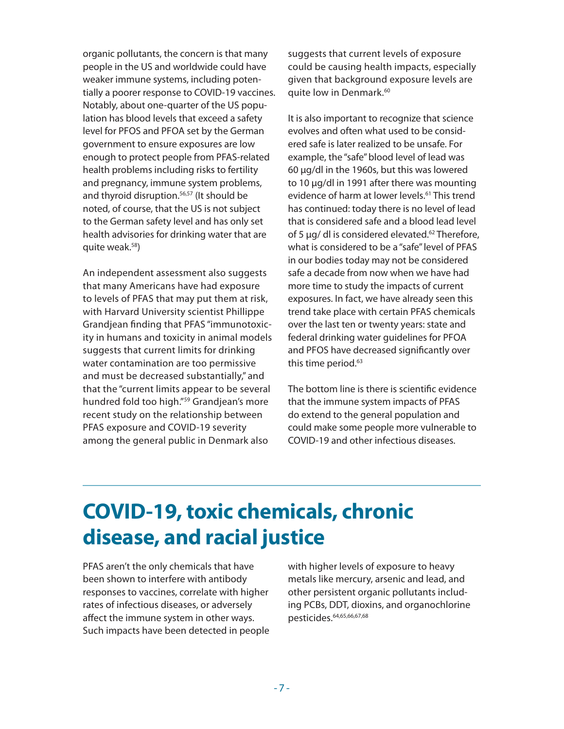<span id="page-6-0"></span>organic pollutants, the concern is that many people in the US and worldwide could have weaker immune systems, including potentially a poorer response to COVID-19 vaccines. Notably, about one-quarter of the US population has blood levels that exceed a safety level for PFOS and PFOA set by the German government to ensure exposures are low enough to protect people from PFAS-related health problems including risks to fertility and pregnancy, immune system problems, and thyroid disruption.<sup>56,57</sup> (It should be noted, of course, that the US is not subject to the German safety level and has only set health advisories for drinking water that are quite weak.[58](#page-10-0))

An independent assessment also suggests that many Americans have had exposure to levels of PFAS that may put them at risk, with Harvard University scientist Phillippe Grandjean finding that PFAS "immunotoxicity in humans and toxicity in animal models suggests that current limits for drinking water contamination are too permissive and must be decreased substantially," and that the "current limits appear to be several hundred fold too high."[59](#page-10-0) Grandjean's more recent study on the relationship between PFAS exposure and COVID-19 severity among the general public in Denmark also

suggests that current levels of exposure could be causing health impacts, especially given that background exposure levels are quite low in Denmark.<sup>60</sup>

It is also important to recognize that science evolves and often what used to be considered safe is later realized to be unsafe. For example, the "safe" blood level of lead was 60 µg/dl in the 1960s, but this was lowered to 10 µg/dl in 1991 after there was mounting evidence of harm at lower levels.<sup>[61](#page-10-0)</sup> This trend has continued: today there is no level of lead that is considered safe and a blood lead level of 5  $\mu$ g/ dl is considered elevated.<sup>[62](#page-10-0)</sup> Therefore, what is considered to be a "safe" level of PFAS in our bodies today may not be considered safe a decade from now when we have had more time to study the impacts of current exposures. In fact, we have already seen this trend take place with certain PFAS chemicals over the last ten or twenty years: state and federal drinking water guidelines for PFOA and PFOS have decreased significantly over this time period.<sup>63</sup>

The bottom line is there is scientific evidence that the immune system impacts of PFAS do extend to the general population and could make some people more vulnerable to COVID-19 and other infectious diseases.

# **COVID-19, toxic chemicals, chronic disease, and racial justice**

PFAS aren't the only chemicals that have been shown to interfere with antibody responses to vaccines, correlate with higher rates of infectious diseases, or adversely affect the immune system in other ways. Such impacts have been detected in people with higher levels of exposure to heavy metals like mercury, arsenic and lead, and other persistent organic pollutants including PCBs, DDT, dioxins, and organochlorine pesticides[.64,65,66,67,68](#page-10-0)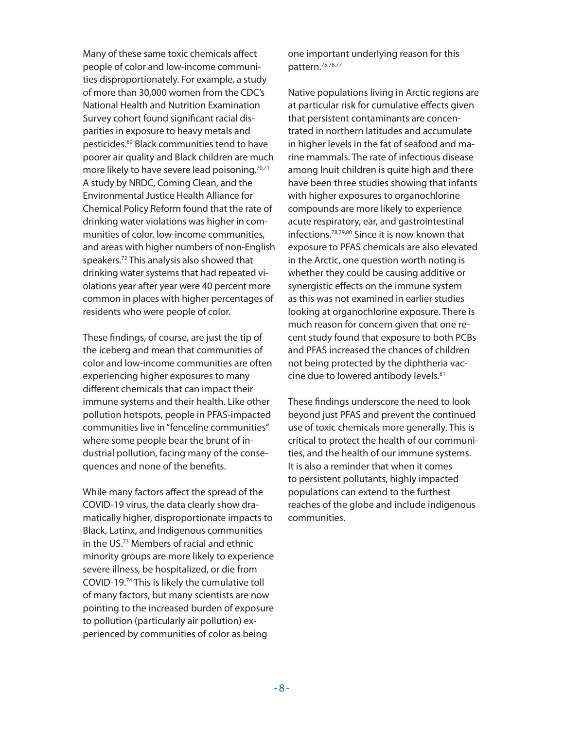<span id="page-7-0"></span>Many of these same toxic chemicals affect people of color and low-income communities disproportionately. For example, a study of more than 30,000 women from the CDC's National Health and Nutrition Examination Survey cohort found significant racial disparities in exposure to heavy metals and pesticides[.69](#page-10-0) Black communities tend to have poorer air quality and Black children are much more likely to have severe lead poisoning.<sup>[70,71](#page-10-0)</sup> A study by NRDC, Coming Clean, and the Environmental Justice Health Alliance for Chemical Policy Reform found that the rate of drinking water violations was higher in communities of color, low-income communities, and areas with higher numbers of non-English speakers.[72](#page-10-0) This analysis also showed that drinking water systems that had repeated violations year after year were 40 percent more common in places with higher percentages of residents who were people of color.

These findings, of course, are just the tip of the iceberg and mean that communities of color and low-income communities are often experiencing higher exposures to many different chemicals that can impact their immune systems and their health. Like other pollution hotspots, people in PFAS-impacted communities live in "fenceline communities" where some people bear the brunt of industrial pollution, facing many of the consequences and none of the benefits.

While many factors affect the spread of the COVID-19 virus, the data clearly show dramatically higher, disproportionate impacts to Black, Latinx, and Indigenous communities in the US[.73](#page-10-0) Members of racial and ethnic minority groups are more likely to experience severe illness, be hospitalized, or die from COVID-19.[74](#page-10-0) This is likely the cumulative toll of many factors, but many scientists are now pointing to the increased burden of exposure to pollution (particularly air pollution) experienced by communities of color as being

one important underlying reason for this pattern[.75,76,77](#page-10-0)

Native populations living in Arctic regions are at particular risk for cumulative effects given that persistent contaminants are concentrated in northern latitudes and accumulate in higher levels in the fat of seafood and marine mammals. The rate of infectious disease among Inuit children is quite high and there have been three studies showing that infants with higher exposures to organochlorine compounds are more likely to experience acute respiratory, ear, and gastrointestinal infections.[78,79,80](#page-10-0) Since it is now known that exposure to PFAS chemicals are also elevated in the Arctic, one question worth noting is whether they could be causing additive or synergistic effects on the immune system as this was not examined in earlier studies looking at organochlorine exposure. There is much reason for concern given that one recent study found that exposure to both PCBs and PFAS increased the chances of children not being protected by the diphtheria vaccine due to lowered antibody levels.<sup>81</sup>

These findings underscore the need to look beyond just PFAS and prevent the continued use of toxic chemicals more generally. This is critical to protect the health of our communities, and the health of our immune systems. It is also a reminder that when it comes to persistent pollutants, highly impacted populations can extend to the furthest reaches of the globe and include indigenous communities.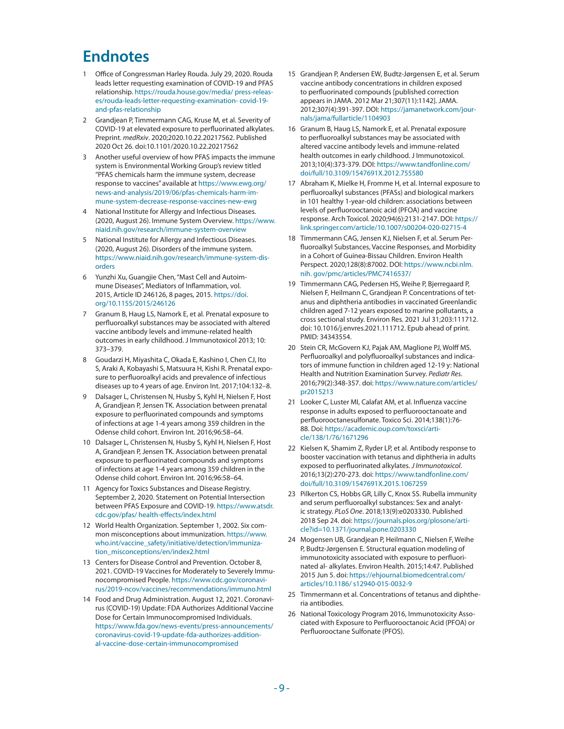#### <span id="page-8-0"></span>**Endnotes**

- [1](#page-0-0) Office of Congressman Harley Rouda. July 29, 2020. Rouda leads letter requesting examination of COVID-19 and PFAS relationship. [https://rouda.house.gov/media/ press-releas](https://rouda.house.gov/media/press-releases/rouda-leads-letter-requesting-examination-covid-19-and-pfas-relationship)[es/rouda-leads-letter-requesting-examination- covid-19](https://rouda.house.gov/media/press-releases/rouda-leads-letter-requesting-examination-covid-19-and-pfas-relationship) [and-pfas-relationship](https://rouda.house.gov/media/press-releases/rouda-leads-letter-requesting-examination-covid-19-and-pfas-relationship)
- [2](#page-0-0) Grandjean P, Timmermann CAG, Kruse M, et al. Severity of COVID-19 at elevated exposure to perfluorinated alkylates. Preprint. *medRxiv*. 2020;2020.10.22.20217562. Published 2020 Oct 26. doi:10.1101/2020.10.22.20217562
- [3](#page-0-0) Another useful overview of how PFAS impacts the immune system is Environmental Working Group's review titled "PFAS chemicals harm the immune system, decrease response to vaccines" available at [https://www.ewg.org/](https://www.ewg.org/news-and-analysis/2019/06/pfas-chemicals-harm-immune-system-decrease-response-vaccines-new-ewg)  [news-and-analysis/2019/06/pfas-chemicals-harm-im](https://www.ewg.org/news-and-analysis/2019/06/pfas-chemicals-harm-immune-system-decrease-response-vaccines-new-ewg)[mune-system-decrease-response-vaccines-new-ewg](https://www.ewg.org/news-and-analysis/2019/06/pfas-chemicals-harm-immune-system-decrease-response-vaccines-new-ewg)
- [4](#page-1-0) National Institute for Allergy and Infectious Diseases. (2020, August 26). Immune System Overview. [https://www.](https://www.niaid.nih.gov/research/immune-system-overview) [niaid.nih.gov/research/immune-system-overview](https://www.niaid.nih.gov/research/immune-system-overview)
- [5](#page-1-0) National Institute for Allergy and Infectious Diseases. (2020, August 26). Disorders of the immune system[.](https://www.niaid.nih.gov/research/immune-system-disorders) [https://www.niaid.nih.gov/research/immune-system-dis](https://www.niaid.nih.gov/research/immune-system-disorders)[orders](https://www.niaid.nih.gov/research/immune-system-disorders)
- [6](#page-1-0) Yunzhi Xu, Guangjie Chen, "Mast Cell and Autoimmune Diseases", Mediators of Inflammation, vol. 2015, Article ID 246126, 8 pages, 2015. [https://doi.](https://doi.org/10.1155/2015/246126)  [org/10.1155/2015/246126](https://doi.org/10.1155/2015/246126)
- [7](#page-1-0) Granum B, Haug LS, Namork E, et al. Prenatal exposure to perfluoroalkyl substances may be associated with altered vaccine antibody levels and immune-related health outcomes in early childhood. J Immunotoxicol 2013; 10: 373–379.
- [8](#page-1-0) Goudarzi H, Miyashita C, Okada E, Kashino I, Chen CJ, Ito S, Araki A, Kobayashi S, Matsuura H, Kishi R. Prenatal exposure to perfluoroalkyl acids and prevalence of infectious diseases up to 4 years of age. Environ Int. 2017;104:132–8.
- [9](#page-1-0) Dalsager L, Christensen N, Husby S, Kyhl H, Nielsen F, Host A, Grandjean P, Jensen TK. Association between prenatal exposure to perfluorinated compounds and symptoms of infections at age 1-4 years among 359 children in the Odense child cohort. Environ Int. 2016;96:58–64.
- [10](#page-1-0) Dalsager L, Christensen N, Husby S, Kyhl H, Nielsen F, Host A, Grandjean P, Jensen TK. Association between prenatal exposure to perfluorinated compounds and symptoms of infections at age 1-4 years among 359 children in the Odense child cohort. Environ Int. 2016;96:58–64.
- [11](#page-1-0) Agency for Toxics Substances and Disease Registry. September 2, 2020. Statement on Potential Intersection between PFAS Exposure and COVID-19. [https://www.atsdr.](https://www.atsdr.cdc.gov/pfas/health-effects/index.html) [cdc.gov/pfas/ health-effects/index.html](https://www.atsdr.cdc.gov/pfas/health-effects/index.html)
- [12](#page-2-0) World Health Organization. September 1, 2002. Six common misconceptions about immunization. [https://www.](https://www.who.int/vaccine_safety/initiative/detection/immunization_misconceptions/en/index2.html)  [who.int/vaccine\\_safety/initiative/detection/immuniza](https://www.who.int/vaccine_safety/initiative/detection/immunization_misconceptions/en/index2.html)[tion\\_misconceptions/en/index2.html](https://www.who.int/vaccine_safety/initiative/detection/immunization_misconceptions/en/index2.html)
- [13](#page-2-0) Centers for Disease Control and Prevention. October 8, 2021. COVID-19 Vaccines for Moderately to Severely Immunocompromised People. [https://www.cdc.gov/coronavi](https://www.cdc.gov/coronavirus/2019-ncov/vaccines/recommendations/immuno.html)[rus/2019-ncov/vaccines/recommendations/immuno.html](https://www.cdc.gov/coronavirus/2019-ncov/vaccines/recommendations/immuno.html)
- [14](#page-2-0) Food and Drug Administration. August 12, 2021. Coronavirus (COVID-19) Update: FDA Authorizes Additional Vaccine Dose for Certain Immunocompromised Individuals. [https://www.fda.gov/news-events/press-announcements/](https://www.fda.gov/news-events/press-announcements/coronavirus-covid-19-update-fda-authorizes-additional-vaccine-dose-certain-immunocompromised) [coronavirus-covid-19-update-fda-authorizes-addition](https://www.fda.gov/news-events/press-announcements/coronavirus-covid-19-update-fda-authorizes-additional-vaccine-dose-certain-immunocompromised)[al-vaccine-dose-certain-immunocompromised](https://www.fda.gov/news-events/press-announcements/coronavirus-covid-19-update-fda-authorizes-additional-vaccine-dose-certain-immunocompromised)
- [15](#page-2-0) Grandjean P, Andersen EW, Budtz-Jørgensen E, et al. Serum vaccine antibody concentrations in children exposed to perfluorinated compounds [published correction appears in JAMA. 2012 Mar 21;307(11):1142]. JAMA. 2012;307(4):391-397. DOI: [https://jamanetwork.com/jour](https://jamanetwork.com/journals/jama/fullarticle/1104903)[nals/jama/fullarticle/1104903](https://jamanetwork.com/journals/jama/fullarticle/1104903)
- [16](#page-2-0) Granum B, Haug LS, Namork E, et al. Prenatal exposure to perfluoroalkyl substances may be associated with altered vaccine antibody levels and immune-related health outcomes in early childhood. J Immunotoxicol. 2013;10(4):373-379. DOI: [https://www.tandfonline.com/](https://www.tandfonline.com/doi/full/10.3109/1547691X.2012.755580) [doi/full/10.3109/1547691X.2012.755580](https://www.tandfonline.com/doi/full/10.3109/1547691X.2012.755580)
- [17](#page-2-0) Abraham K, Mielke H, Fromme H, et al. Internal exposure to perfluoroalkyl substances (PFASs) and biological markers in 101 healthy 1-year-old children: associations between levels of perfluorooctanoic acid (PFOA) and vaccine response. Arch Toxicol. 2020;94(6):2131-2147. DOI: [https://](https://link.springer.com/article/10.1007/s00204-020-02715-4) [link.springer.com/article/10.1007/s00204-020-02715-4](https://link.springer.com/article/10.1007/s00204-020-02715-4)
- [18](#page-2-0) Timmermann CAG, Jensen KJ, Nielsen F, et al. Serum Perfluoroalkyl Substances, Vaccine Responses, and Morbidity in a Cohort of Guinea-Bissau Children. Environ Health Perspect. 2020;128(8):87002. DOI: [https://www.ncbi.nlm.](https://www.ncbi.nlm.nih.gov/pmc/articles/PMC7416537/) [nih. gov/pmc/articles/PMC7416537/](https://www.ncbi.nlm.nih.gov/pmc/articles/PMC7416537/)
- [19](#page-2-0) Timmermann CAG, Pedersen HS, Weihe P, Bjerregaard P, Nielsen F, Heilmann C, Grandjean P. Concentrations of tetanus and diphtheria antibodies in vaccinated Greenlandic children aged 7-12 years exposed to marine pollutants, a cross sectional study. Environ Res. 2021 Jul 31;203:111712. doi: 10.1016/j.envres.2021.111712. Epub ahead of print. PMID: 34343554.
- [20](#page-2-0) Stein CR, McGovern KJ, Pajak AM, Maglione PJ, Wolff MS. Perfluoroalkyl and polyfluoroalkyl substances and indicators of immune function in children aged 12-19 y: National Health and Nutrition Examination Survey. *Pediatr Res*. 2016;79(2):348-357. doi: [https://www.nature.com/articles/](https://www.nature.com/articles/pr2015213)  [pr2015213](https://www.nature.com/articles/pr2015213)
- [21](#page-2-0) Looker C, Luster MI, Calafat AM, et al. Influenza vaccine response in adults exposed to perfluorooctanoate and perfluorooctanesulfonate. Toxico Sci. 2014;138(1):76- 88. Doi: [https://academic.oup.com/toxsci/arti](https://academic.oup.com/toxsci/article/138/1/76/1671296)[cle/138/1/76/1671296](https://academic.oup.com/toxsci/article/138/1/76/1671296)
- [22](#page-2-0) Kielsen K, Shamim Z, Ryder LP, et al. Antibody response to booster vaccination with tetanus and diphtheria in adults exposed to perfluorinated alkylates. *J Immunotoxicol*. 2016;13(2):270-273. doi: [https://www.tandfonline.com/](https://www.tandfonline.com/doi/full/10.3109/1547691X.2015.1067259)  [doi/full/10.3109/1547691X.2015.1067259](https://www.tandfonline.com/doi/full/10.3109/1547691X.2015.1067259)
- [23](#page-2-0) Pilkerton CS, Hobbs GR, Lilly C, Knox SS. Rubella immunity and serum perfluoroalkyl substances: Sex and analytic strategy. *PLoS One*. 2018;13(9):e0203330. Published 2018 Sep 24. doi: [https://journals.plos.org/plosone/arti](https://journals.plos.org/plosone/article?id=10.1371/journal.pone.0203330)[cle?id=10.1371/journal.pone.0203330](https://journals.plos.org/plosone/article?id=10.1371/journal.pone.0203330)
- [24](#page-3-0) Mogensen UB, Grandjean P, Heilmann C, Nielsen F, Weihe P, Budtz-Jørgensen E. Structural equation modeling of immunotoxicity associated with exposure to perfluorinated al- alkylates. Environ Health. 2015;14:47. Published 2015 Jun 5. doi: [https://ehjournal.biomedcentral.com/](https://ehjournal.biomedcentral.com/articles/10.1186/s12940-015-0032-9) [articles/10.1186/ s12940-015-0032-9](https://ehjournal.biomedcentral.com/articles/10.1186/s12940-015-0032-9)
- [25](#page-3-0) Timmermann et al. Concentrations of tetanus and diphtheria antibodies.
- [26](#page-3-0) National Toxicology Program 2016, Immunotoxicity Associated with Exposure to Perfluorooctanoic Acid (PFOA) or Perfluorooctane Sulfonate (PFOS).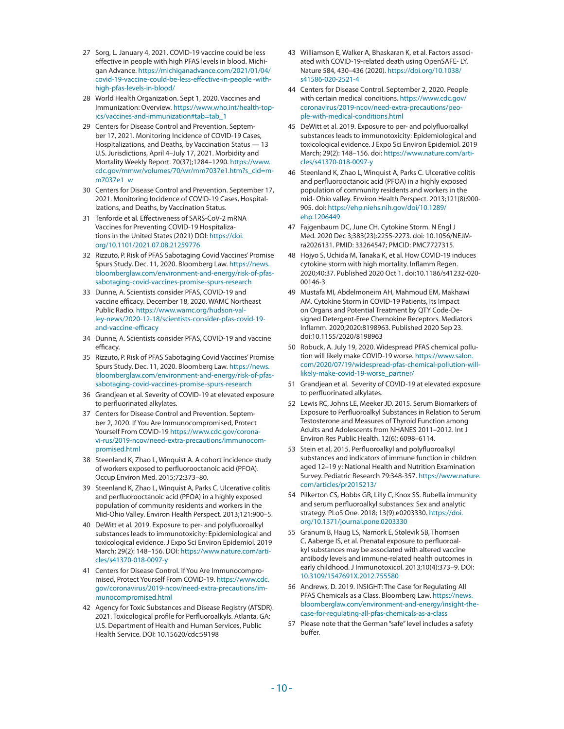- <span id="page-9-0"></span>[27](#page-3-0) Sorg, L. January 4, 2021. COVID-19 vaccine could be less effective in people with high PFAS levels in blood. Michigan Advance. [https://michiganadvance.com/2021/01/04/](https://michiganadvance.com/2021/01/04/covid-19-vaccine-could-be-less-effective-in-people-with-high-pfas-levels-in-blood/) [covid-19-vaccine-could-be-less-effective-in-people -with](https://michiganadvance.com/2021/01/04/covid-19-vaccine-could-be-less-effective-in-people-with-high-pfas-levels-in-blood/)[high-pfas-levels-in-blood/](https://michiganadvance.com/2021/01/04/covid-19-vaccine-could-be-less-effective-in-people-with-high-pfas-levels-in-blood/)
- [28](#page-3-0) World Health Organization. Sept 1, 2020. Vaccines and Immunization: Overview. [https://www.who.int/health-top](https://www.who.int/health-topics/vaccines-and-immunization#tab=tab_1)[ics/vaccines-and-immunization#tab=tab\\_1](https://www.who.int/health-topics/vaccines-and-immunization#tab=tab_1)
- [29](#page-3-0) Centers for Disease Control and Prevention. September 17, 2021. Monitoring Incidence of COVID-19 Cases, Hospitalizations, and Deaths, by Vaccination Status — 13 U.S. Jurisdictions, April 4–July 17, 2021. Morbidity and Mortality Weekly Report. 70(37);1284–1290. [https://www.](https://www.cdc.gov/mmwr/volumes/70/wr/mm7037e1.htm?s_cid=mm7037e1_w) [cdc.gov/mmwr/volumes/70/wr/mm7037e1.htm?s\\_cid=m](https://www.cdc.gov/mmwr/volumes/70/wr/mm7037e1.htm?s_cid=mm7037e1_w)[m7037e1\\_w](https://www.cdc.gov/mmwr/volumes/70/wr/mm7037e1.htm?s_cid=mm7037e1_w)
- [30](#page-3-0) Centers for Disease Control and Prevention. September 17, 2021. Monitoring Incidence of COVID-19 Cases, Hospitalizations, and Deaths, by Vaccination Status.
- [31](#page-3-0) Tenforde et al. Effectiveness of SARS-CoV-2 mRNA Vaccines for Preventing COVID-19 Hospitalizations in the United States (2021) DOI: [https://doi.](https://doi.org/10.1101/2021.07.08.21259776) [org/10.1101/2021.07.08.21259776](https://doi.org/10.1101/2021.07.08.21259776)
- [32](#page-3-0) Rizzuto, P. Risk of PFAS Sabotaging Covid Vaccines' Promise Spurs Study. Dec. 11, 2020. Bloomberg Law. [https://news.](https://news.bloomberglaw.com/environment-and-energy/risk-of-pfas-sabotaging-covid-vaccines-promise-spurs-research) [bloomberglaw.com/environment-and-energy/risk-of-pfas](https://news.bloomberglaw.com/environment-and-energy/risk-of-pfas-sabotaging-covid-vaccines-promise-spurs-research)[sabotaging-covid-vaccines-promise-spurs-research](https://news.bloomberglaw.com/environment-and-energy/risk-of-pfas-sabotaging-covid-vaccines-promise-spurs-research)
- [33](#page-3-0) Dunne, A. Scientists consider PFAS, COVID-19 and vaccine efficacy. December 18, 2020. WAMC Northeast Public Radio. https://www.wamc.org/hudson-valley-news/2020-12-18/scientists-consider-pfas-covid-19 and-vaccine-efficacy
- [34](#page-3-0) Dunne, A. Scientists consider PFAS, COVID-19 and vaccine efficacy.
- [35](#page-4-0) Rizzuto, P. Risk of PFAS Sabotaging Covid Vaccines' Promise Spurs Study. Dec. 11, 2020. Bloomberg Law. [https://news.](https://news.bloomberglaw.com/environment-and-energy/risk-of-pfas-sabotaging-covid-vaccines-promise-spurs-research) [bloomberglaw.com/environment-and-energy/risk-of-pfas](https://news.bloomberglaw.com/environment-and-energy/risk-of-pfas-sabotaging-covid-vaccines-promise-spurs-research)[sabotaging-covid-vaccines-promise-spurs-research](https://news.bloomberglaw.com/environment-and-energy/risk-of-pfas-sabotaging-covid-vaccines-promise-spurs-research)
- [36](#page-4-0) Grandjean et al. Severity of COVID-19 at elevated exposure to perfluorinated alkylates.
- [37](#page-4-0) Centers for Disease Control and Prevention. September 2, 2020. If You Are Immunocompromised, Protect Yourself From COVID-1[9](https://www.cdc.gov/coronavirus/2019-ncov/need-extra-precautions/immunocompromised.html) [https://www.cdc.gov/corona](https://www.cdc.gov/coronavirus/2019-ncov/need-extra-precautions/immunocompromised.html)[vi-rus/2019-ncov/need-extra-precautions/immunocom](https://www.cdc.gov/coronavirus/2019-ncov/need-extra-precautions/immunocompromised.html)[promised.html](https://www.cdc.gov/coronavirus/2019-ncov/need-extra-precautions/immunocompromised.html)
- [38](#page-4-0) Steenland K, Zhao L, Winquist A. A cohort incidence study of workers exposed to perfluorooctanoic acid (PFOA). Occup Environ Med. 2015;72:373–80.
- [39](#page-4-0) Steenland K, Zhao L, Winquist A, Parks C. Ulcerative colitis and perfluorooctanoic acid (PFOA) in a highly exposed population of community residents and workers in the Mid-Ohio Valley. Environ Health Perspect. 2013;121:900–5.
- [40](#page-4-0) DeWitt et al. 2019. Exposure to per- and polyfluoroalkyl substances leads to immunotoxicity: Epidemiological and toxicological evidence. J Expo Sci Environ Epidemiol. 2019 March; 29(2): 148–156. DOI[:](https://www.nature.com/articles/s41370-018-0097-y) [https://www.nature.com/arti](https://www.nature.com/articles/s41370-018-0097-y)[cles/s41370-018-0097-y](https://www.nature.com/articles/s41370-018-0097-y)
- [41](#page-4-0) Centers for Disease Control. If You Are Immunocompromised, Protect Yourself From COVID-19. [https://www.cdc.](https://www.cdc.gov/coronavirus/2019-ncov/need-extra-precautions/immunocompromised.html)  [gov/coronavirus/2019-ncov/need-extra-precautions/im](https://www.cdc.gov/coronavirus/2019-ncov/need-extra-precautions/immunocompromised.html)[munocompromised.html](https://www.cdc.gov/coronavirus/2019-ncov/need-extra-precautions/immunocompromised.html)
- [42](#page-4-0) Agency for Toxic Substances and Disease Registry (ATSDR). 2021. Toxicological profile for Perfluoroalkyls. Atlanta, GA: U.S. Department of Health and Human Services, Public Health Service. DOI: 10.15620/cdc:59198
- [43](#page-4-0) Williamson E, Walker A, Bhaskaran K, et al. Factors associated with COVID-19-related death using OpenSAFE- LY. Nature 584, 430–436 (2020)[.](https://doi.org/10.1038/s41586-020-2521-4) [https://doi.org/10.1038/](https://doi.org/10.1038/s41586-020-2521-4)  [s41586-020-2521-4](https://doi.org/10.1038/s41586-020-2521-4)
- [44](#page-4-0) Centers for Disease Control. September 2, 2020. People with certain medical conditions. [https://www.cdc.gov/](https://www.cdc.gov/coronavirus/2019-ncov/need-extra-precautions/people-with-medical-conditions.html)  [coronavirus/2019-ncov/need-extra-precautions/peo](https://www.cdc.gov/coronavirus/2019-ncov/need-extra-precautions/people-with-medical-conditions.html)[ple-with-medical-conditions.html](https://www.cdc.gov/coronavirus/2019-ncov/need-extra-precautions/people-with-medical-conditions.html)
- [45](#page-5-0) DeWitt et al. 2019. Exposure to per- and polyfluoroalkyl substances leads to immunotoxicity: Epidemiological and toxicological evidence. J Expo Sci Environ Epidemiol. 2019 March; 29(2): 148–156. doi: [https://www.nature.com/arti](https://www.nature.com/articles/s41370-018-0097-y)[cles/s41370-018-0097-y](https://www.nature.com/articles/s41370-018-0097-y)
- [46](#page-5-0) Steenland K, Zhao L, Winquist A, Parks C. Ulcerative colitis and perfluorooctanoic acid (PFOA) in a highly exposed population of community residents and workers in the mid- Ohio valley. Environ Health Perspect. 2013;121(8):900- 905. doi[:](https://ehp.niehs.nih.gov/doi/10.1289/ehp.1206449) [https://ehp.niehs.nih.gov/doi/10.1289/](https://ehp.niehs.nih.gov/doi/10.1289/ehp.1206449) [ehp.1206449](https://ehp.niehs.nih.gov/doi/10.1289/ehp.1206449)
- [47](#page-5-0) Fajgenbaum DC, June CH. Cytokine Storm. N Engl J Med. 2020 Dec 3;383(23):2255-2273. doi: 10.1056/NEJMra2026131. PMID: 33264547; PMCID: PMC7727315.
- [48](#page-5-0) Hojyo S, Uchida M, Tanaka K, et al. How COVID-19 induces cytokine storm with high mortality. Inflamm Regen. 2020;40:37. Published 2020 Oct 1. doi:10.1186/s41232-020- 00146-3
- [49](#page-5-0) Mustafa MI, Abdelmoneim AH, Mahmoud EM, Makhawi AM. Cytokine Storm in COVID-19 Patients, Its Impact on Organs and Potential Treatment by QTY Code-Designed Detergent-Free Chemokine Receptors. Mediators Inflamm. 2020;2020:8198963. Published 2020 Sep 23. doi:10.1155/2020/8198963
- [50](#page-5-0) Robuck, A. July 19, 2020. Widespread PFAS chemical pollution will likely make COVID-19 worse. [https://www.salon.](https://www.salon.com/2020/07/19/widespread-pfas-chemical-pollution-will-likely-make-covid-19-worse_partner/)  [com/2020/07/19/widespread-pfas-chemical-pollution-will](https://www.salon.com/2020/07/19/widespread-pfas-chemical-pollution-will-likely-make-covid-19-worse_partner/)[likely-make-covid-19-worse\\_partner/](https://www.salon.com/2020/07/19/widespread-pfas-chemical-pollution-will-likely-make-covid-19-worse_partner/)
- [51](#page-5-0) Grandjean et al. Severity of COVID-19 at elevated exposure to perfluorinated alkylates.
- [52](#page-5-0) Lewis RC, Johns LE, Meeker JD. 2015. Serum Biomarkers of Exposure to Perfluoroalkyl Substances in Relation to Serum Testosterone and Measures of Thyroid Function among Adults and Adolescents from NHANES 2011–2012. Int J Environ Res Public Health. 12(6): 6098–6114.
- [53](#page-5-0) Stein et al, 2015. Perfluoroalkyl and polyfluoroalkyl substances and indicators of immune function in children aged 12–19 y: National Health and Nutrition Examination Survey. Pediatric Research 79:348-357. [https://www.nature.](https://www.nature.com/articles/pr2015213/)  [com/articles/pr2015213/](https://www.nature.com/articles/pr2015213/)
- [54](#page-5-0) Pilkerton CS, Hobbs GR, Lilly C, Knox SS. Rubella immunity and serum perfluoroalkyl substances: Sex and analytic strategy. PLoS One. 2018; 13(9):e0203330. [https://doi.](https://doi.org/10.1371/journal.pone.0203330)  [org/10.1371/journal.pone.0203330](https://doi.org/10.1371/journal.pone.0203330)
- [55](#page-5-0) Granum B, Haug LS, Namork E, Stølevik SB, Thomsen C, Aaberge IS, et al. Prenatal exposure to perfluoroalkyl substances may be associated with altered vaccine antibody levels and immune-related health outcomes in early childhood. J Immunotoxicol. 2013;10(4):373–9. DOI: [10.3109/1547691X.2012.755580](https://doi.org/10.3109/1547691x.2012.755580)
- [56](#page-6-0) Andrews, D. 2019. INSIGHT: The Case for Regulating All PFAS Chemicals as a Class. Bloomberg Law[.](https://news.bloomberglaw.com/environment-and-energy/insight-the-case-for-regulating-all-pfas-chemicals-as-a-class) [https://news.](https://news.bloomberglaw.com/environment-and-energy/insight-the-case-for-regulating-all-pfas-chemicals-as-a-class)  [bloomberglaw.com/environment-and-energy/insight-the](https://news.bloomberglaw.com/environment-and-energy/insight-the-case-for-regulating-all-pfas-chemicals-as-a-class)[case-for-regulating-all-pfas-chemicals-as-a-class](https://news.bloomberglaw.com/environment-and-energy/insight-the-case-for-regulating-all-pfas-chemicals-as-a-class)
- [57](#page-6-0) Please note that the German "safe" level includes a safety buffer.